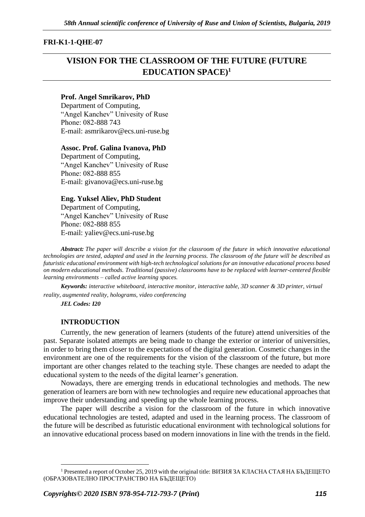### **FRI-K1-1-QHE-07**

# **VISION FOR THE CLASSROOM OF THE FUTURE (FUTURE EDUCATION SPACE)<sup>1</sup>**

### **Prof. Angel Smrikarov, PhD**

Department of Computing, "Angel Kanchev" Univesity of Ruse Рhone: 082-888 743 E-mail: asmrikarov@ecs.uni-ruse.bg

#### **Assoc. Prof. Galina Ivanova, PhD**

Department of Computing, "Angel Kanchev" Univesity of Ruse Phone: 082-888 855 Е-mail: givanova@ecs.uni-ruse.bg

#### **Eng. Yuksel Aliev, PhD Student**

Department of Computing, "Angel Kanchev" Univesity of Ruse Рhone: 082-888 855 Е-mail: yaliev@ecs.uni-ruse.bg

*Abstract: The paper will describe a vision for the classroom of the future in which innovative educational technologies are tested, adapted and used in the learning process. The classroom of the future will be described as futuristic educational environment with high-tech technological solutions for an innovative educational process based on modern educational methods. Traditional (passive) classrooms have to be replaced with learner-centered flexible learning environments – called active learning spaces.*

*Keywords: interactive whiteboard, interactive monitor, interactive table, 3D scanner & 3D printer, virtual reality, augmented reality, holograms, video conferencing*

*JEL Codes: I20*

#### **INTRODUCTION**

Currently, the new generation of learners (students of the future) attend universities of the past. Separate isolated attempts are being made to change the exterior or interior of universities, in order to bring them closer to the expectations of the digital generation. Cosmetic changes in the environment are one of the requirements for the vision of the classroom of the future, but mоre important are other changes related to the teaching style. These changes are needed to adapt the educational system to the needs of the digital learner's generation.

Nowadays, there are emerging trends in educational technologies and methods. The new generation of learners are born with new technologies and require new educational approaches that improve their understanding and speeding up the whole learning process.

The paper will describe a vision for the classroom of the future in which innovative educational technologies are tested, adapted and used in the learning process. The classroom of the future will be described as futuristic educational environment with technological solutions for an innovative educational process based on modern innovations in line with the trends in the field.

<sup>&</sup>lt;sup>1</sup> Presented a report of October 25, 2019 with the original title: ВИЗИЯ ЗА КЛАСНА СТАЯ НА БЪДЕЩЕТО (ОБРАЗОВАТЕЛНО ПРОСТРАНСТВО НА БЪДЕЩЕТО)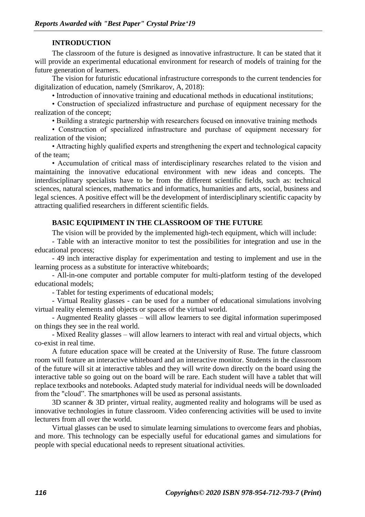### **INTRODUCTION**

The classroom of the future is designed as innovative infrastructure. It can be stated that it will provide an experimental educational environment for research of models of training for the future generation of learners.

The vision for futuristic educational infrastructure corresponds to the current tendencies for digitalization of education, namely (Smrikarov, A, 2018):

• Introduction of innovative training and educational methods in educational institutions;

• Construction of specialized infrastructure and purchase of equipment necessary for the realization of the concept;

• Building a strategic partnership with researchers focused on innovative training methods

• Construction of specialized infrastructure and purchase of equipment necessary for realization of the vision;

• Attracting highly qualified experts and strengthening the expert and technological capacity of the team;

• Accumulation of critical mass of interdisciplinary researches related to the vision and maintaining the innovative educational environment with new ideas and concepts. The interdisciplinary specialists have to be from the different scientific fields, such as: technical sciences, natural sciences, mathematics and informatics, humanities and arts, social, business and legal sciences. A positive effect will be the development of interdisciplinary scientific capacity by attracting qualified researchers in different scientific fields.

### **BASIC EQUIPIMENT IN THE CLASSROOM OF THE FUTURE**

The vision will be provided by the implemented high-tech equipment, which will include:

- Table with an interactive monitor to test the possibilities for integration and use in the educational process;

- 49 inch interactive display for experimentation and testing to implement and use in the learning process as a substitute for interactive whiteboards;

- All-in-one computer and portable computer for multi-platform testing of the developed educational models;

- Tablet for testing experiments of educational models;

- Virtual Reality glasses - can be used for a number of educational simulations involving virtual reality elements and objects or spaces of the virtual world.

- Augmented Reality glasses – will allow learners to see digital information superimposed on things they see in the real world.

- Mixed Reality glasses – will allow learners to interact with real and virtual objects, which co-exist in real time.

A future education space will be created at the University of Ruse. The future classroom room will feature an interactive whiteboard and an interactive monitor. Students in the classroom of the future will sit at interactive tables and they will write down directly on the board using the interactive table so going out on the board will be rare. Each student will have a tablet that will replace textbooks and notebooks. Adapted study material for individual needs will be downloaded from the "cloud". The smartphones will be used as personal assistants.

3D scanner & 3D printer, virtual reality, augmented reality and holograms will be used as innovative technologies in future classroom. Video conferencing activities will be used to invite lecturers from all over the world.

Virtual glasses can be used to simulate learning simulations to overcome fears and phobias, and more. This technology can be especially useful for educational games and simulations for people with special educational needs to represent situational activities.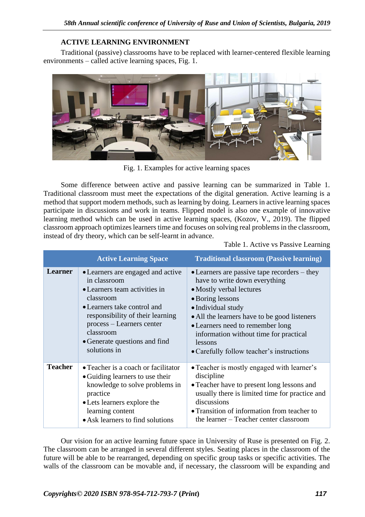# **ACTIVE LEARNING ENVIRONMENT**

Traditional (passive) classrooms have to be replaced with learner-centered flexible learning environments – called active learning spaces, Fig. 1.



Fig. 1. Examples for active learning spaces

Some difference between active and passive learning can be summarized in Table 1. Traditional classroom must meet the expectations of the digital generation. Active learning is a method that support modern methods, such as learning by doing. Learners in active learning spaces participate in discussions and work in teams. Flipped model is also one example of innovative learning method which can be used in active learning spaces, (Kozov, V., 2019). The flipped classroom approach optimizes learners time and focuses on solving real problems in the classroom, instead of dry theory, which can be self-learnt in advance.

Table 1. Active vs Passive Learning

|                | <b>Active Learning Space</b>                                                                                                                                                                                                                                  | <b>Traditional classroom (Passive learning)</b>                                                                                                                                                                                                                                                                                                   |
|----------------|---------------------------------------------------------------------------------------------------------------------------------------------------------------------------------------------------------------------------------------------------------------|---------------------------------------------------------------------------------------------------------------------------------------------------------------------------------------------------------------------------------------------------------------------------------------------------------------------------------------------------|
| Learner        | • Learners are engaged and active<br>in classroom<br>• Learners team activities in<br>classroom<br>• Learners take control and<br>responsibility of their learning<br>process – Learners center<br>classroom<br>• Generate questions and find<br>solutions in | $\bullet$ Learners are passive tape recorders – they<br>have to write down everything<br>• Mostly verbal lectures<br>• Boring lessons<br>• Individual study<br>• All the learners have to be good listeners<br>• Learners need to remember long<br>information without time for practical<br>lessons<br>• Carefully follow teacher's instructions |
| <b>Teacher</b> | • Teacher is a coach or facilitator<br>• Guiding learners to use their<br>knowledge to solve problems in<br>practice<br>• Lets learners explore the<br>learning content<br>• Ask learners to find solutions                                                   | • Teacher is mostly engaged with learner's<br>discipline<br>• Teacher have to present long lessons and<br>usually there is limited time for practice and<br>discussions<br>• Transition of information from teacher to<br>the learner – Teacher center classroom                                                                                  |

Our vision for an active learning future space in University of Ruse is presented on Fig. 2. The classroom can be arranged in several different styles. Seating places in the classroom of the future will be able to be rearranged, depending on specific group tasks or specific activities. The walls of the classroom can be movable and, if necessary, the classroom will be expanding and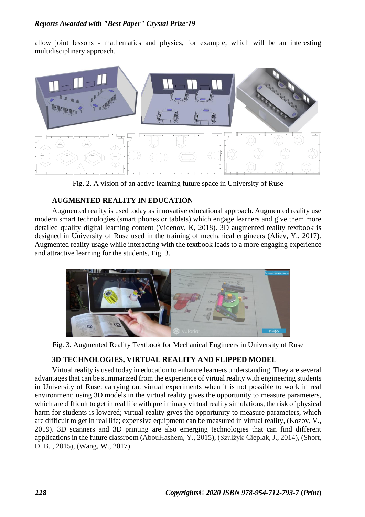allow joint lessons - mathematics and physics, for example, which will be an interesting multidisciplinary approach.



Fig. 2. A vision of an active learning future space in University of Ruse

## **AUGMENTED REALITY IN EDUCATION**

Augmented reality is used today as innovative educational approach. Augmented reality use modern smart technologies (smart phones or tablets) which engage learners and give them more detailed quality digital learning content (Videnov, K, 2018). 3D augmented reality textbook is designed in University of Ruse used in the training of mechanical engineers (Aliev, Y., 2017). Augmented reality usage while interacting with the textbook leads to a more engaging experience and attractive learning for the students, Fig. 3.



Fig. 3. Augmented Reality Textbook for Mechanical Engineers in University of Ruse

## **3D TECHNOLOGIES, VIRTUAL REALITY AND FLIPPED MODEL**

Virtual reality is used today in education to enhance learners understanding. They are several advantages that can be summarized from the experience of virtual reality with engineering students in University of Ruse: carrying out virtual experiments when it is not possible to work in real environment; using 3D models in the virtual reality gives the opportunity to measure parameters, which are difficult to get in real life with preliminary virtual reality simulations, the risk of physical harm for students is lowered; virtual reality gives the opportunity to measure parameters, which are difficult to get in real life; expensive equipment can be measured in virtual reality, (Kozov, V., 2019). 3D scanners and 3D printing are also emerging technologies that can find different applications in the future classroom (AbouHashem, Y., 2015), (Szulżyk-Cieplak, J., 2014), (Short, D. B. , 2015), (Wang, W., 2017).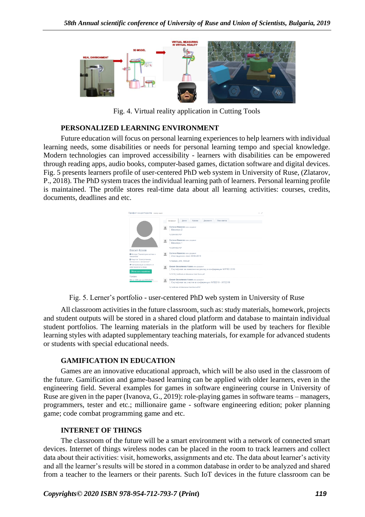

Fig. 4. Virtual reality application in Cutting Tools

### **PERSONALIZED LEARNING ENVIRONMENT**

Future education will focus on personal learning experiences to help learners with individual learning needs, some disabilities or needs for personal learning tempo and special knowledge. Modern technologies can improved accessibility - learners with disabilities can be empowered through reading apps, audio books, computer-based games, dictation software and digital devices. Fig. 5 presents learners profile of user-centered PhD web system in University of Ruse, (Zlatarov, P., 2018). The PhD system traces the individual learning path of learners. Personal learning profile is maintained. The profile stores real-time data about all learning activities: courses, credits, documents, deadlines and etc.



Fig. 5. Lerner's portfolio - user-centered PhD web system in University of Ruse

All classroom activities in the future classroom, such as: study materials, homework, projects and student outputs will be stored in a shared cloud platform and database to maintain individual student portfolios. The learning materials in the platform will be used by teachers for flexible learning styles with adapted supplementary teaching materials, for example for advanced students or students with special educational needs.

### **GAMIFICATION IN EDUCATION**

Games are an innovative educational approach, which will be also used in the classroom of the future. Gamification and game-based learning can be applied with older learners, even in the engineering field. Several examples for games in software engineering course in University of Ruse are given in the paper (Ivanova, G., 2019): role-playing games in software teams – managers, programmers, tester and etc.; millionaire game - software engineering edition; poker planning game; code combat programming game and etc.

### **INTERNET OF THINGS**

The classroom of the future will be a smart environment with a network of connected smart devices. Internet of things wireless nodes can be placed in the room to track learners and collect data about their activities: visit, homeworks, assignments and etc. The data about learner's activity and all the learner's results will be stored in a common database in order to be analyzed and shared from a teacher to the learners or their parents. Such IoT devices in the future classroom can be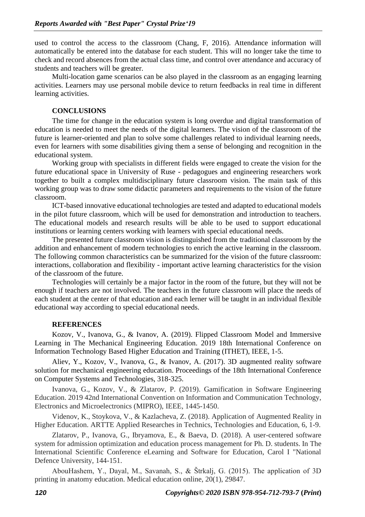used to control the access to the classroom (Chang, F, 2016). Attendance information will automatically be entered into the database for each student. This will no longer take the time to check and record absences from the actual class time, and control over attendance and accuracy of students and teachers will be greater.

Multi-location game scenarios can be also played in the classroom as an engaging learning activities. Learners may use personal mobile device to return feedbacks in real time in different learning activities.

### **CONCLUSIONS**

The time for change in the education system is long overdue and digital transformation of education is needed to meet the needs of the digital learners. The vision of the classroom of the future is learner-oriented and plan to solve some challenges related to individual learning needs, even for learners with some disabilities giving them a sense of belonging and recognition in the educational system.

Working group with specialists in different fields were engaged to create the vision for the future educational space in University of Ruse - pedagogues and engineering researchers work together to built a complex multidisciplinary future classroom vision. The main task of this working group was to draw some didactic parameters and requirements to the vision of the future classroom.

ICT-based innovative educational technologies are tested and adapted to educational models in the pilot future classroom, which will be used for demonstration and introduction to teachers. The educational models and research results will be able to be used to support educational institutions or learning centers working with learners with special educational needs.

The presented future classroom vision is distinguished from the traditional classroom by the addition and enhancement of modern technologies to enrich the active learning in the classroom. The following common characteristics can be summarized for the vision of the future classroom: interactions, collaboration and flexibility - important active learning characteristics for the vision of the classroom of the future.

Technologies will certainly be a major factor in the room of the future, but they will not be enough if teachers are not involved. The teachers in the future classroom will place the needs of each student at the center of that education and each lerner will be taught in an individual flexible educational way according to special educational needs.

### **REFERENCES**

Kozov, V., Ivanova, G., & Ivanov, A. (2019). Flipped Classroom Model and Immersive Learning in The Mechanical Engineering Education. 2019 18th International Conference on Information Technology Based Higher Education and Training (ITHET), IEEE, 1-5.

Aliev, Y., Kozov, V., Ivanova, G., & Ivanov, A. (2017). 3D augmented reality software solution for mechanical engineering education. Proceedings of the 18th International Conference on Computer Systems and Technologies, 318-325.

Ivanova, G., Kozov, V., & Zlatarov, P. (2019). Gamification in Software Engineering Education. 2019 42nd International Convention on Information and Communication Technology, Electronics and Microelectronics (MIPRO), IEEE, 1445-1450.

Videnov, K., Stoykova, V., & Kazlacheva, Z. (2018). Application of Augmented Reality in Higher Education. ARTTE Applied Researches in Technics, Technologies and Education, 6, 1-9.

Zlatarov, P., Ivanova, G., Ibryamova, E., & Baeva, D. (2018). A user-centered software system for admission optimization and education process management for Ph. D. students. In The International Scientific Conference eLearning and Software for Education, Carol I "National Defence University, 144-151.

AbouHashem, Y., Dayal, M., Savanah, S., & Štrkalj, G. (2015). The application of 3D printing in anatomy education. Medical education online, 20(1), 29847.